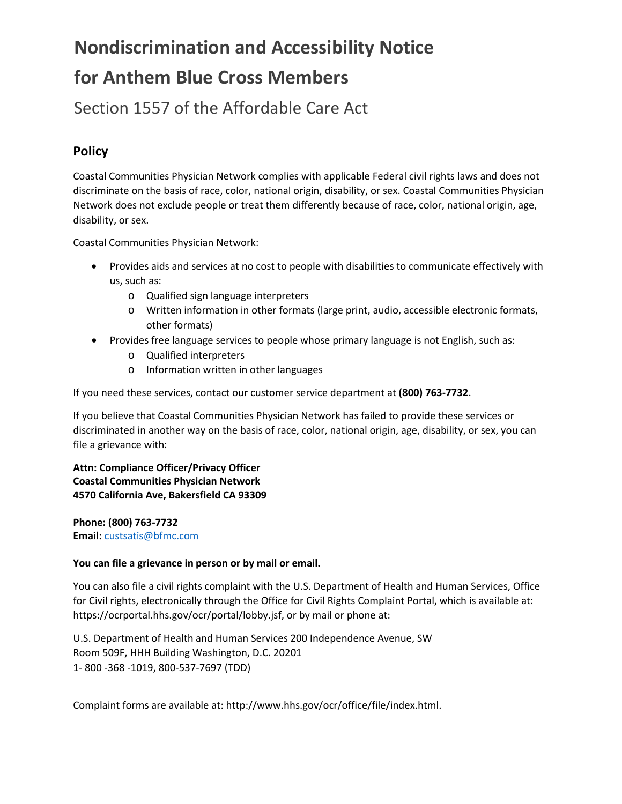# **Nondiscrimination and Accessibility Notice for Anthem Blue Cross Members**

Section 1557 of the Affordable Care Act

## **Policy**

Coastal Communities Physician Network complies with applicable Federal civil rights laws and does not discriminate on the basis of race, color, national origin, disability, or sex. Coastal Communities Physician Network does not exclude people or treat them differently because of race, color, national origin, age, disability, or sex.

Coastal Communities Physician Network:

- Provides aids and services at no cost to people with disabilities to communicate effectively with us, such as:
	- o Qualified sign language interpreters
	- o Written information in other formats (large print, audio, accessible electronic formats, other formats)
- Provides free language services to people whose primary language is not English, such as:
	- o Qualified interpreters
	- o Information written in other languages

If you need these services, contact our customer service department at **(800) 763-7732**.

If you believe that Coastal Communities Physician Network has failed to provide these services or discriminated in another way on the basis of race, color, national origin, age, disability, or sex, you can file a grievance with:

**Attn: Compliance Officer/Privacy Officer Coastal Communities Physician Network 4570 California Ave, Bakersfield CA 93309**

**Phone: (800) 763-7732 Email:** [custsatis@bfmc.com](mailto:custsatis@bfmc.com)

#### **You can file a grievance in person or by mail or email.**

You can also file a civil rights complaint with the U.S. Department of Health and Human Services, Office for Civil rights, electronically through the Office for Civil Rights Complaint Portal, which is available at: https://ocrportal.hhs.gov/ocr/portal/lobby.jsf, or by mail or phone at:

U.S. Department of Health and Human Services 200 Independence Avenue, SW Room 509F, HHH Building Washington, D.C. 20201 1- 800 -368 -1019, 800-537-7697 (TDD)

Complaint forms are available at: http://www.hhs.gov/ocr/office/file/index.html.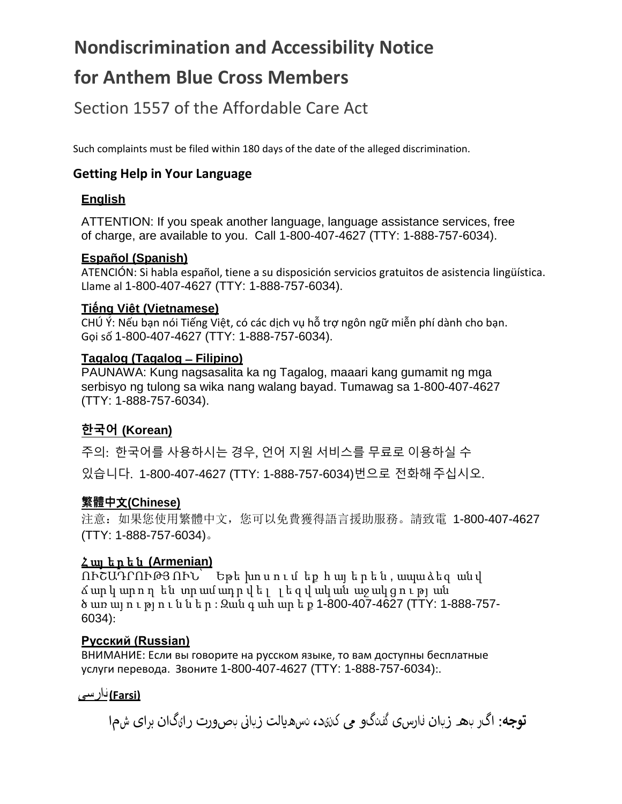## **Nondiscrimination and Accessibility Notice**

## **for Anthem Blue Cross Members**

Section 1557 of the Affordable Care Act

Such complaints must be filed within 180 days of the date of the alleged discrimination.

## **Getting Help in Your Language**

### **English**

ATTENTION: If you speak another language, language assistance services, free of charge, are available to you. Call 1-800-407-4627 (TTY: 1-888-757-6034).

#### **Español (Spanish)**

ATENCIÓN: Si habla español, tiene a su disposición servicios gratuitos de asistencia lingüística. Llame al 1-800-407-4627 (TTY: 1-888-757-6034).

#### **Tiếng Việt (Vietnamese)**

CHÚ Ý: Nếu bạn nói Tiếng Việt, có các dịch vụ hỗ trợ ngôn ngữ miễn phí dành cho bạn. Gọi số 1-800-407-4627 (TTY: 1-888-757-6034).

#### **Tagalog (Tagalog ̶Filipino)**

PAUNAWA: Kung nagsasalita ka ng Tagalog, maaari kang gumamit ng mga serbisyo ng tulong sa wika nang walang bayad. Tumawag sa 1-800-407-4627 (TTY: 1-888-757-6034).

## **한국어 (Korean)**

주의: 한국어를 사용하시는 경우, 언어 지원 서비스를 무료로 이용하실 수 있습니다. 1-800-407-4627 (TTY: 1-888-757-6034)번으로 전화해주십시오.

### **繁體中**文**(Chinese)**

注意:如果您使用繁體中文,您可以免費獲得語言援助服務。請致電 1-800-407-4627 (TTY: 1-888-757-6034)。

### Հ այ ե ր ե ն **(Armenian)**

ՈՒՇԱԴՐՈՒԹՅ ՈՒՆ՝ Եթե խո ս ո ւ մ եք հ այ ե ր ե ն , ապա ձեզ ան վ ճ ար կ ար ո ղ են տր ամ ադ ր վ ե լ լ ե զ վ ակ ան աջ ակ ց ո ւ թյ ան ծ առ այ ո ւ թյ ո ւ ն ն ե ր : Զան գ ահ ար ե ք 1-800-407-4627 (TTY: 1-888-757- 6034):

#### **Русский (Russian)**

ВНИМАНИЕ: Если вы говорите на русском языке, то вам доступны бесплатные услуги перевода. Звоните 1-800-407-4627 (TTY: 1-888-757-6034):.

**(Farsi (**فارسی

نبصورت رایگان برای شما **توجه**: اگر به زبان فارسی گفتگو � کنید، تسه�الت زبای